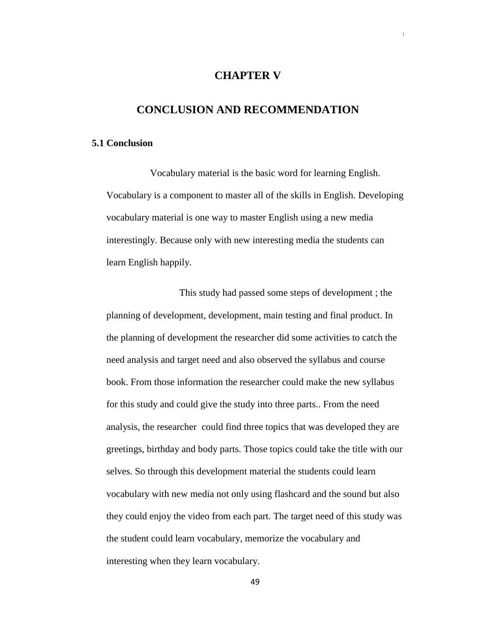## **CHAPTER V**

50

## **CONCLUSION AND RECOMMENDATION**

## **5.1 Conclusion**

Vocabulary material is the basic word for learning English. Vocabulary is a component to master all of the skills in English. Developing vocabulary material is one way to master English using a new media interestingly. Because only with new interesting media the students can learn English happily.

This study had passed some steps of development ; the planning of development, development, main testing and final product. In the planning of development the researcher did some activities to catch the need analysis and target need and also observed the syllabus and course book. From those information the researcher could make the new syllabus for this study and could give the study into three parts.. From the need analysis, the researcher could find three topics that was developed they are greetings, birthday and body parts. Those topics could take the title with our selves. So through this development material the students could learn vocabulary with new media not only using flashcard and the sound but also they could enjoy the video from each part. The target need of this study was the student could learn vocabulary, memorize the vocabulary and interesting when they learn vocabulary.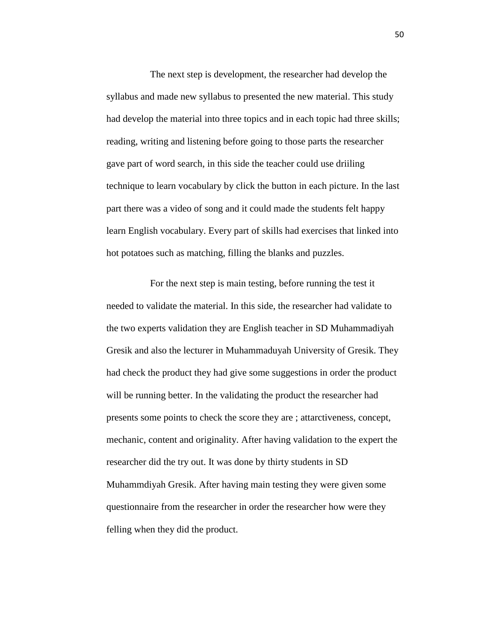The next step is development, the researcher had develop the syllabus and made new syllabus to presented the new material. This study had develop the material into three topics and in each topic had three skills; reading, writing and listening before going to those parts the researcher gave part of word search, in this side the teacher could use driiling technique to learn vocabulary by click the button in each picture. In the last part there was a video of song and it could made the students felt happy learn English vocabulary. Every part of skills had exercises that linked into hot potatoes such as matching, filling the blanks and puzzles.

For the next step is main testing, before running the test it needed to validate the material. In this side, the researcher had validate to the two experts validation they are English teacher in SD Muhammadiyah Gresik and also the lecturer in Muhammaduyah University of Gresik. They had check the product they had give some suggestions in order the product will be running better. In the validating the product the researcher had presents some points to check the score they are ; attarctiveness, concept, mechanic, content and originality. After having validation to the expert the researcher did the try out. It was done by thirty students in SD Muhammdiyah Gresik. After having main testing they were given some questionnaire from the researcher in order the researcher how were they felling when they did the product.